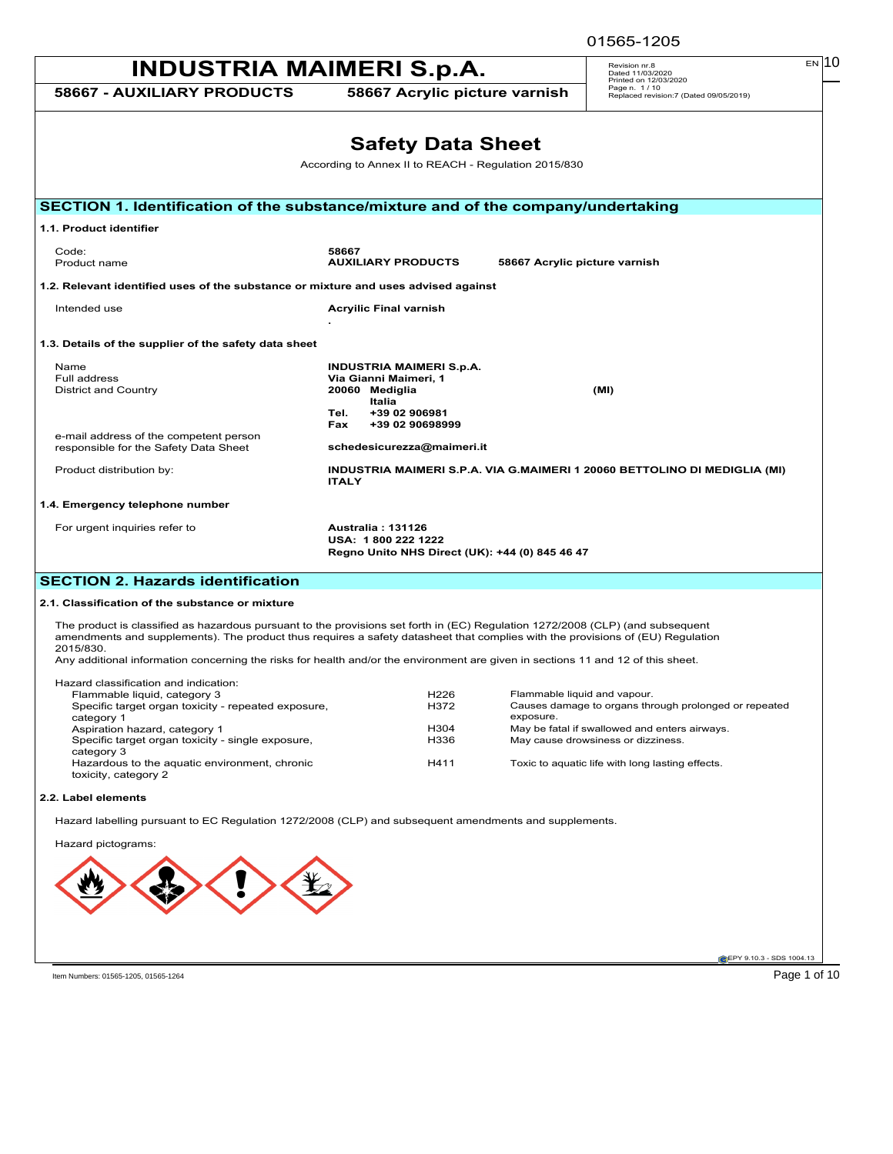01565-1205

| <b>INDUSTRIA MAIMERI S.p.A.</b>                                                                                                                                                                                                                                                                                                                                                                                   | $EN$ 10<br>Revision nr.8<br>Dated 11/03/2020<br>Printed on 12/03/2020                                                                   |                                                                                     |
|-------------------------------------------------------------------------------------------------------------------------------------------------------------------------------------------------------------------------------------------------------------------------------------------------------------------------------------------------------------------------------------------------------------------|-----------------------------------------------------------------------------------------------------------------------------------------|-------------------------------------------------------------------------------------|
| <b>58667 - AUXILIARY PRODUCTS</b>                                                                                                                                                                                                                                                                                                                                                                                 | 58667 Acrylic picture varnish                                                                                                           | Page n. 1/10<br>Replaced revision:7 (Dated 09/05/2019)                              |
|                                                                                                                                                                                                                                                                                                                                                                                                                   | <b>Safety Data Sheet</b><br>According to Annex II to REACH - Regulation 2015/830                                                        |                                                                                     |
| SECTION 1. Identification of the substance/mixture and of the company/undertaking                                                                                                                                                                                                                                                                                                                                 |                                                                                                                                         |                                                                                     |
| 1.1. Product identifier                                                                                                                                                                                                                                                                                                                                                                                           |                                                                                                                                         |                                                                                     |
| Code:<br>Product name                                                                                                                                                                                                                                                                                                                                                                                             | 58667<br><b>AUXILIARY PRODUCTS</b>                                                                                                      | 58667 Acrylic picture varnish                                                       |
| 1.2. Relevant identified uses of the substance or mixture and uses advised against                                                                                                                                                                                                                                                                                                                                |                                                                                                                                         |                                                                                     |
| Intended use                                                                                                                                                                                                                                                                                                                                                                                                      | <b>Acryilic Final varnish</b>                                                                                                           |                                                                                     |
| 1.3. Details of the supplier of the safety data sheet                                                                                                                                                                                                                                                                                                                                                             |                                                                                                                                         |                                                                                     |
| Name<br>Full address<br>District and Country<br>e-mail address of the competent person                                                                                                                                                                                                                                                                                                                            | <b>INDUSTRIA MAIMERI S.p.A.</b><br>Via Gianni Maimeri, 1<br>20060 Mediglia<br>Italia<br>Tel.<br>+39 02 906981<br>Fax<br>+39 02 90698999 | (MI)                                                                                |
| responsible for the Safety Data Sheet                                                                                                                                                                                                                                                                                                                                                                             | schedesicurezza@maimeri.it                                                                                                              |                                                                                     |
| Product distribution by:                                                                                                                                                                                                                                                                                                                                                                                          | INDUSTRIA MAIMERI S.P.A. VIA G.MAIMERI 1 20060 BETTOLINO DI MEDIGLIA (MI)<br><b>ITALY</b>                                               |                                                                                     |
| For urgent inquiries refer to                                                                                                                                                                                                                                                                                                                                                                                     | Australia: 131126<br>USA: 1800 222 1222<br>Regno Unito NHS Direct (UK): +44 (0) 845 46 47                                               |                                                                                     |
| <b>SECTION 2. Hazards identification</b>                                                                                                                                                                                                                                                                                                                                                                          |                                                                                                                                         |                                                                                     |
| 2.1. Classification of the substance or mixture                                                                                                                                                                                                                                                                                                                                                                   |                                                                                                                                         |                                                                                     |
| The product is classified as hazardous pursuant to the provisions set forth in (EC) Regulation 1272/2008 (CLP) (and subsequent<br>amendments and supplements). The product thus requires a safety datasheet that complies with the provisions of (EU) Regulation<br>2015/830.<br>Any additional information concerning the risks for health and/or the environment are given in sections 11 and 12 of this sheet. |                                                                                                                                         |                                                                                     |
| Hazard classification and indication:<br>Flammable liquid, category 3                                                                                                                                                                                                                                                                                                                                             | H <sub>226</sub>                                                                                                                        | Flammable liquid and vapour.                                                        |
| Specific target organ toxicity - repeated exposure,<br>category 1                                                                                                                                                                                                                                                                                                                                                 | H372<br>exposure.                                                                                                                       | Causes damage to organs through prolonged or repeated                               |
| Aspiration hazard, category 1<br>Specific target organ toxicity - single exposure,<br>category 3                                                                                                                                                                                                                                                                                                                  | H304<br>H336                                                                                                                            | May be fatal if swallowed and enters airways.<br>May cause drowsiness or dizziness. |
| Hazardous to the aquatic environment, chronic<br>toxicity, category 2                                                                                                                                                                                                                                                                                                                                             | H411                                                                                                                                    | Toxic to aquatic life with long lasting effects.                                    |
| 2.2. Label elements                                                                                                                                                                                                                                                                                                                                                                                               |                                                                                                                                         |                                                                                     |
| Hazard labelling pursuant to EC Regulation 1272/2008 (CLP) and subsequent amendments and supplements.                                                                                                                                                                                                                                                                                                             |                                                                                                                                         |                                                                                     |
| Hazard pictograms:                                                                                                                                                                                                                                                                                                                                                                                                |                                                                                                                                         |                                                                                     |
|                                                                                                                                                                                                                                                                                                                                                                                                                   |                                                                                                                                         |                                                                                     |
|                                                                                                                                                                                                                                                                                                                                                                                                                   |                                                                                                                                         | EPY 9.10.3 - SDS 1004.13                                                            |
|                                                                                                                                                                                                                                                                                                                                                                                                                   |                                                                                                                                         |                                                                                     |

Item Numbers: 01565-1205, 01565-1264

Page 1 of 10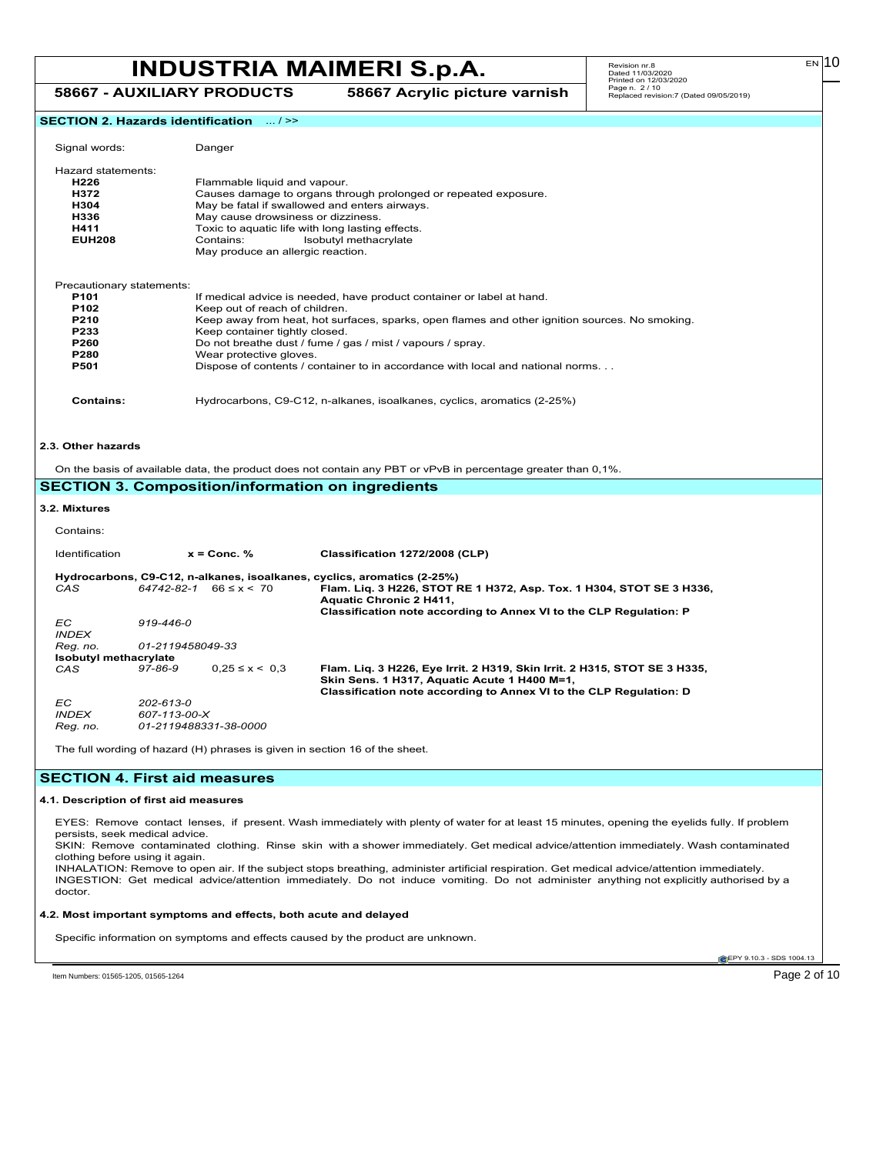## **INDUSTRIA MAIMERI S.p.A.**  $\begin{array}{|c|c|c|c|c|}\hline\hline\n\text{Revision n r.s} & \text{Revision n r.s} & \text{Revision n r.s} & \text{Eiv} & \text{Eiv} & \text{Eiv} & \text{Eiv} & \text{Eiv} & \text{Eiv} & \text{Eiv} & \text{Eiv} & \text{Eiv} & \text{Eiv} & \text{Eiv} & \text{Eiv} & \text{Eiv} & \text{Eiv} & \text{Eiv} & \text{Eiv} & \text{Eiv} & \text{Eiv} & \text{Eiv} & \text{E$ **58667 - AUXILIARY PRODUCTS 58667 Acrylic picture varnish**

Revision nr.8 Dated 11/03/2020 Printed on 12/03/2020 Page n. 2 / 10 Replaced revision:7 (Dated 09/05/2019)

|                                                          |                           | SECTION 2. Hazards identification  / >> |                                                                                                                                               |
|----------------------------------------------------------|---------------------------|-----------------------------------------|-----------------------------------------------------------------------------------------------------------------------------------------------|
| Signal words:                                            |                           | Danger                                  |                                                                                                                                               |
|                                                          |                           |                                         |                                                                                                                                               |
| Hazard statements:                                       |                           |                                         |                                                                                                                                               |
| H226                                                     |                           | Flammable liquid and vapour.            |                                                                                                                                               |
| H372                                                     |                           |                                         | Causes damage to organs through prolonged or repeated exposure.                                                                               |
| May be fatal if swallowed and enters airways.<br>H304    |                           |                                         |                                                                                                                                               |
| H336                                                     |                           | May cause drowsiness or dizziness.      |                                                                                                                                               |
| H411<br>Toxic to aquatic life with long lasting effects. |                           |                                         |                                                                                                                                               |
| <b>EUH208</b>                                            |                           | Contains:                               | Isobutyl methacrylate                                                                                                                         |
|                                                          |                           | May produce an allergic reaction.       |                                                                                                                                               |
| Precautionary statements:                                |                           |                                         |                                                                                                                                               |
| P <sub>101</sub>                                         |                           |                                         | If medical advice is needed, have product container or label at hand.                                                                         |
| P102                                                     |                           | Keep out of reach of children.          |                                                                                                                                               |
| P210                                                     |                           |                                         | Keep away from heat, hot surfaces, sparks, open flames and other ignition sources. No smoking.                                                |
| P233                                                     |                           | Keep container tightly closed.          |                                                                                                                                               |
| P260                                                     |                           |                                         | Do not breathe dust / fume / gas / mist / vapours / spray.                                                                                    |
| P280                                                     |                           | Wear protective gloves.                 |                                                                                                                                               |
| P501                                                     |                           |                                         | Dispose of contents / container to in accordance with local and national norms.                                                               |
| <b>Contains:</b>                                         |                           |                                         | Hydrocarbons, C9-C12, n-alkanes, isoalkanes, cyclics, aromatics (2-25%)                                                                       |
|                                                          |                           |                                         |                                                                                                                                               |
| 2.3. Other hazards                                       |                           |                                         |                                                                                                                                               |
|                                                          |                           |                                         | On the basis of available data, the product does not contain any PBT or vPvB in percentage greater than 0,1%.                                 |
|                                                          |                           |                                         | <b>SECTION 3. Composition/information on ingredients</b>                                                                                      |
| 3.2. Mixtures                                            |                           |                                         |                                                                                                                                               |
| Contains:                                                |                           |                                         |                                                                                                                                               |
| Identification                                           |                           | $x =$ Conc. %                           | Classification 1272/2008 (CLP)                                                                                                                |
|                                                          |                           |                                         | Hydrocarbons, C9-C12, n-alkanes, isoalkanes, cyclics, aromatics (2-25%)                                                                       |
| CAS                                                      |                           | $64742 - 82 - 1$ $66 \le x \le 70$      | Flam. Liq. 3 H226, STOT RE 1 H372, Asp. Tox. 1 H304, STOT SE 3 H336,                                                                          |
|                                                          |                           |                                         | <b>Aquatic Chronic 2 H411,</b>                                                                                                                |
|                                                          |                           |                                         | Classification note according to Annex VI to the CLP Regulation: P                                                                            |
| ЕC                                                       | 919-446-0                 |                                         |                                                                                                                                               |
| <b>INDEX</b>                                             |                           |                                         |                                                                                                                                               |
| Reg. no.                                                 | 01-2119458049-33          |                                         |                                                                                                                                               |
| <b>Isobutyl methacrylate</b><br>CAS                      | 97-86-9                   | $0.25 \le x \le 0.3$                    | Flam. Liq. 3 H226, Eye Irrit. 2 H319, Skin Irrit. 2 H315, STOT SE 3 H335,                                                                     |
|                                                          |                           |                                         | Skin Sens. 1 H317, Aquatic Acute 1 H400 M=1,                                                                                                  |
|                                                          |                           |                                         | Classification note according to Annex VI to the CLP Regulation: D                                                                            |
| ЕC<br><b>INDEX</b>                                       | 202-613-0<br>607-113-00-X |                                         |                                                                                                                                               |
| Reg. no.                                                 |                           | 01-2119488331-38-0000                   |                                                                                                                                               |
|                                                          |                           |                                         | The full wording of hazard (H) phrases is given in section 16 of the sheet.                                                                   |
| <b>SECTION 4. First aid measures</b>                     |                           |                                         |                                                                                                                                               |
|                                                          |                           |                                         |                                                                                                                                               |
| 4.1. Description of first aid measures                   |                           |                                         |                                                                                                                                               |
|                                                          |                           |                                         | EYES: Remove contact lenses, if present. Wash immediately with plenty of water for at least 15 minutes, opening the eyelids fully. If problem |
| persists, seek medical advice.                           |                           |                                         |                                                                                                                                               |
|                                                          |                           |                                         | SKIN: Remove contaminated clothing. Rinse skin with a shower immediately. Get medical advice/attention immediately. Wash contaminated         |
| clothing before using it again.                          |                           |                                         |                                                                                                                                               |
|                                                          |                           |                                         | INHALATION: Remove to open air. If the subject stops breathing, administer artificial respiration. Get medical advice/attention immediately.  |
|                                                          |                           |                                         | INGESTION: Get medical advice/attention immediately. Do not induce vomiting. Do not administer anything not explicitly authorised by a        |
| doctor.                                                  |                           |                                         |                                                                                                                                               |

### **4.2. Most important symptoms and effects, both acute and delayed**

Specific information on symptoms and effects caused by the product are unknown.

EPY 9.10.3 - SDS 1004.13

Item Numbers: 01565-1205, 01565-1264 Page 2 of 10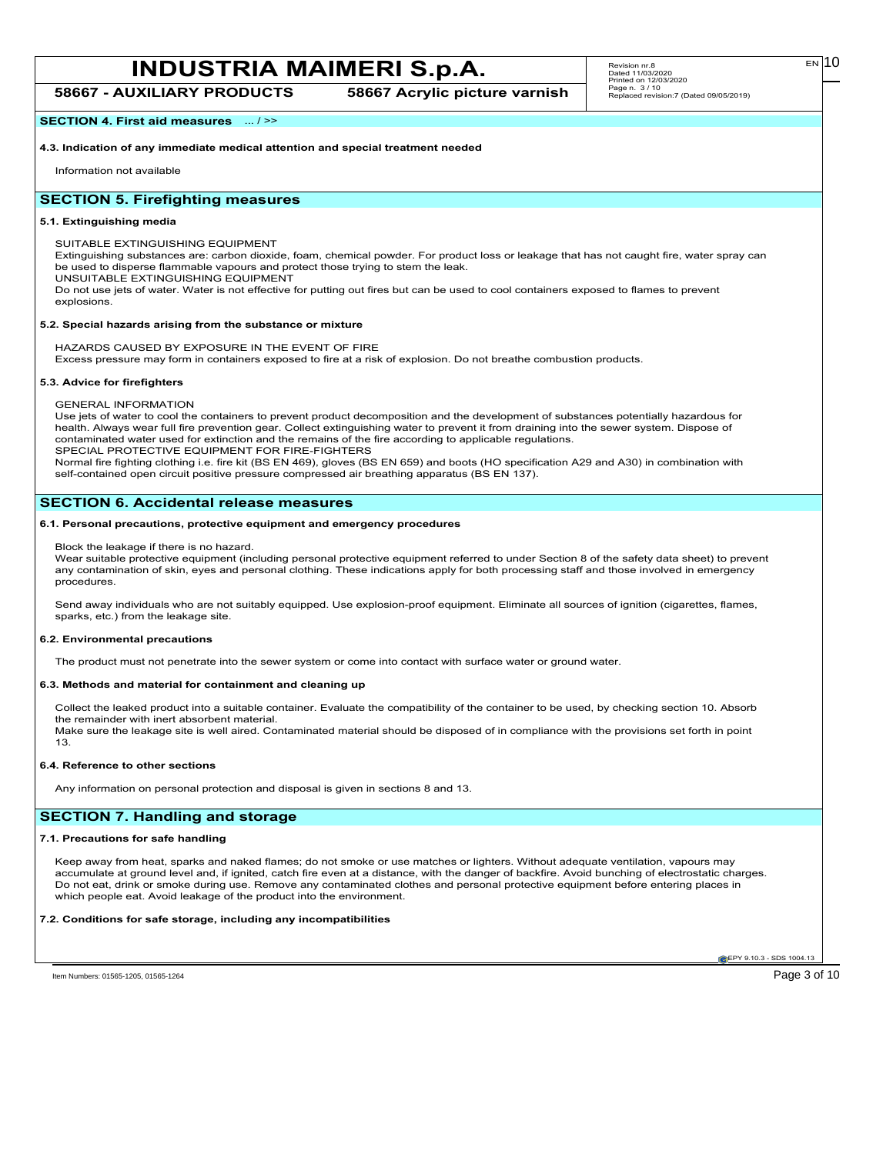## **INDUSTRIA MAIMERI S.p.A.**  $\begin{array}{|c|c|c|c|c|}\hline\hline\n\text{Revision n r.s} & \text{Revision n r.s} & \text{Revision n r.s} & \text{Eiv} & \text{Eiv} & \text{Eiv} & \text{Eiv} & \text{Eiv} & \text{Eiv} & \text{Eiv} & \text{Eiv} & \text{Eiv} & \text{Eiv} & \text{Eiv} & \text{Eiv} & \text{Eiv} & \text{Eiv} & \text{Eiv} & \text{Eiv} & \text{Eiv} & \text{Eiv} & \text{Eiv} & \text{E$

**58667 - AUXILIARY PRODUCTS 58667 Acrylic picture varnish**

**SECTION 4. First aid measures** ... / >>

**4.3. Indication of any immediate medical attention and special treatment needed**

Information not available

## **SECTION 5. Firefighting measures**

## **5.1. Extinguishing media**

SUITABLE EXTINGUISHING EQUIPMENT

Extinguishing substances are: carbon dioxide, foam, chemical powder. For product loss or leakage that has not caught fire, water spray can be used to disperse flammable vapours and protect those trying to stem the leak.

UNSUITABLE EXTINGUISHING EQUIPMENT

Do not use jets of water. Water is not effective for putting out fires but can be used to cool containers exposed to flames to prevent explosions.

## **5.2. Special hazards arising from the substance or mixture**

HAZARDS CAUSED BY EXPOSURE IN THE EVENT OF FIRE

Excess pressure may form in containers exposed to fire at a risk of explosion. Do not breathe combustion products.

## **5.3. Advice for firefighters**

GENERAL INFORMATION

Use jets of water to cool the containers to prevent product decomposition and the development of substances potentially hazardous for health. Always wear full fire prevention gear. Collect extinguishing water to prevent it from draining into the sewer system. Dispose of contaminated water used for extinction and the remains of the fire according to applicable regulations. SPECIAL PROTECTIVE EQUIPMENT FOR FIRE-FIGHTERS

Normal fire fighting clothing i.e. fire kit (BS EN 469), gloves (BS EN 659) and boots (HO specification A29 and A30) in combination with self-contained open circuit positive pressure compressed air breathing apparatus (BS EN 137).

## **SECTION 6. Accidental release measures**

## **6.1. Personal precautions, protective equipment and emergency procedures**

Block the leakage if there is no hazard.

Wear suitable protective equipment (including personal protective equipment referred to under Section 8 of the safety data sheet) to prevent any contamination of skin, eyes and personal clothing. These indications apply for both processing staff and those involved in emergency procedures.

Send away individuals who are not suitably equipped. Use explosion-proof equipment. Eliminate all sources of ignition (cigarettes, flames, sparks, etc.) from the leakage site.

## **6.2. Environmental precautions**

The product must not penetrate into the sewer system or come into contact with surface water or ground water.

## **6.3. Methods and material for containment and cleaning up**

Collect the leaked product into a suitable container. Evaluate the compatibility of the container to be used, by checking section 10. Absorb the remainder with inert absorbent material. Make sure the leakage site is well aired. Contaminated material should be disposed of in compliance with the provisions set forth in point 13.

## **6.4. Reference to other sections**

Any information on personal protection and disposal is given in sections 8 and 13.

## **SECTION 7. Handling and storage**

## **7.1. Precautions for safe handling**

Keep away from heat, sparks and naked flames; do not smoke or use matches or lighters. Without adequate ventilation, vapours may accumulate at ground level and, if ignited, catch fire even at a distance, with the danger of backfire. Avoid bunching of electrostatic charges. Do not eat, drink or smoke during use. Remove any contaminated clothes and personal protective equipment before entering places in which people eat. Avoid leakage of the product into the environment.

## **7.2. Conditions for safe storage, including any incompatibilities**

EPY 9.10.3 - SDS 1004.13

Item Numbers: 01565-1205, 01565-1264 Page 3 of 10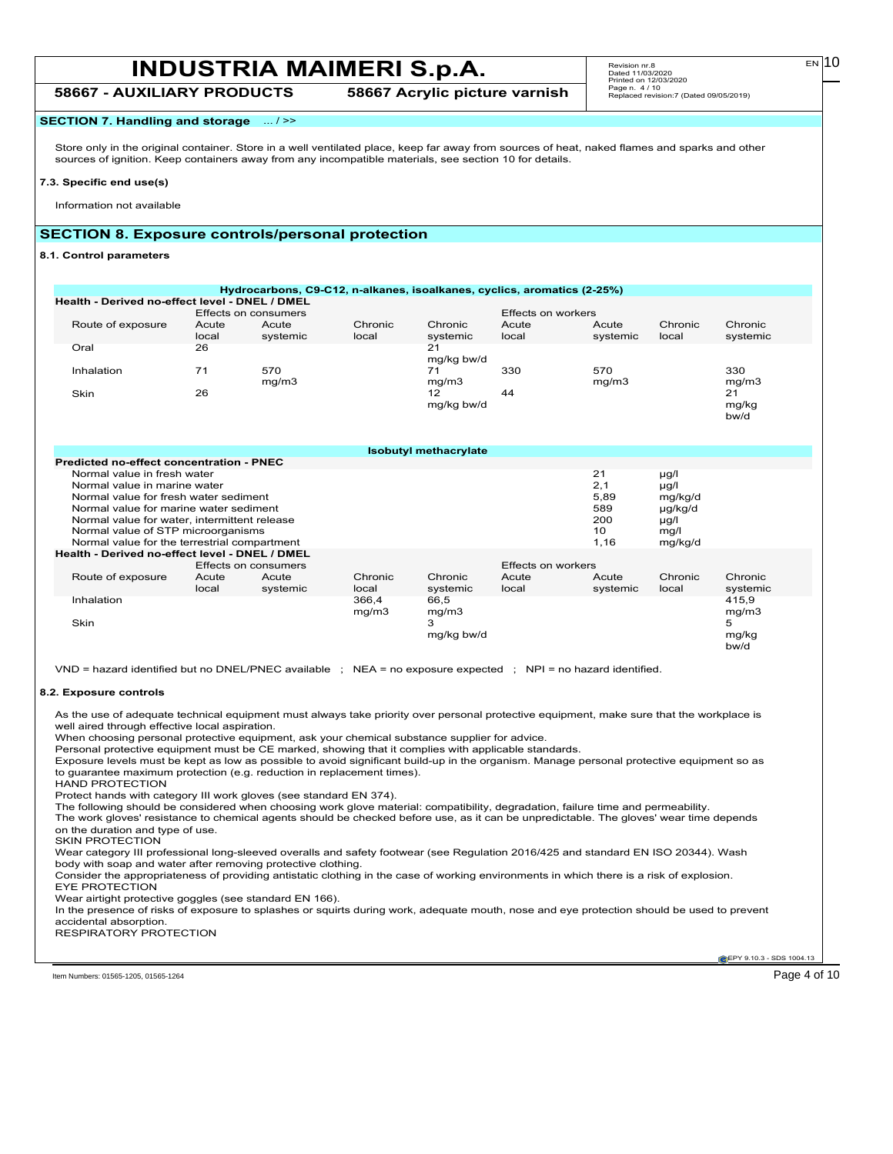**58667 - AUXILIARY PRODUCTS 58667 Acrylic picture varnish**

# Revision nr.8 Dated 11/03/2020 Printed on 12/03/2020 Page n. 4 / 10 Replaced revision:7 (Dated 09/05/2019)

## **SECTION 7. Handling and storage** ... / >>

Store only in the original container. Store in a well ventilated place, keep far away from sources of heat, naked flames and sparks and other sources of ignition. Keep containers away from any incompatible materials, see section 10 for details.

#### **7.3. Specific end use(s)**

Information not available

### **SECTION 8. Exposure controls/personal protection**

#### **8.1. Control parameters**

| Health - Derived no-effect level - DNEL / DMEL                                                                                                                                                                                                                                                                                         |                |                      |                  |                              |                    |                                               |                                                                         |                     |
|----------------------------------------------------------------------------------------------------------------------------------------------------------------------------------------------------------------------------------------------------------------------------------------------------------------------------------------|----------------|----------------------|------------------|------------------------------|--------------------|-----------------------------------------------|-------------------------------------------------------------------------|---------------------|
|                                                                                                                                                                                                                                                                                                                                        |                | Effects on consumers |                  |                              | Effects on workers |                                               |                                                                         |                     |
| Route of exposure                                                                                                                                                                                                                                                                                                                      | Acute<br>local | Acute<br>systemic    | Chronic<br>local | Chronic<br>systemic          | Acute<br>local     | Acute<br>systemic                             | Chronic<br>local                                                        | Chronic<br>systemic |
| Oral                                                                                                                                                                                                                                                                                                                                   | 26             |                      |                  | 21<br>mg/kg bw/d             |                    |                                               |                                                                         |                     |
| Inhalation                                                                                                                                                                                                                                                                                                                             | 71             | 570<br>mg/m3         |                  | 71<br>mg/m3                  | 330                | 570<br>mq/m3                                  |                                                                         | 330<br>mg/m3        |
| Skin                                                                                                                                                                                                                                                                                                                                   | 26             |                      |                  | 12<br>mg/kg bw/d             | 44                 |                                               |                                                                         | 21<br>mg/kg<br>bw/d |
|                                                                                                                                                                                                                                                                                                                                        |                |                      |                  | <b>Isobutyl methacrylate</b> |                    |                                               |                                                                         |                     |
| Predicted no-effect concentration - PNEC                                                                                                                                                                                                                                                                                               |                |                      |                  |                              |                    |                                               |                                                                         |                     |
| Normal value in fresh water<br>Normal value in marine water<br>Normal value for fresh water sediment<br>Normal value for marine water sediment<br>Normal value for water, intermittent release<br>Normal value of STP microorganisms<br>Normal value for the terrestrial compartment<br>Health - Derived no-effect level - DNEL / DMEL |                |                      |                  |                              |                    | 21<br>2,1<br>5,89<br>589<br>200<br>10<br>1,16 | µg/l<br>$\mu$ g/l<br>mg/kg/d<br>µg/kg/d<br>$\mu$ g/l<br>mq/l<br>mg/kg/d |                     |
|                                                                                                                                                                                                                                                                                                                                        |                | Effects on consumers |                  |                              | Effects on workers |                                               |                                                                         |                     |
| Route of exposure                                                                                                                                                                                                                                                                                                                      | Acute<br>local | Acute<br>systemic    | Chronic<br>local | Chronic<br>systemic          | Acute<br>local     | Acute<br>systemic                             | Chronic<br>local                                                        | Chronic<br>systemic |
| Inhalation                                                                                                                                                                                                                                                                                                                             |                |                      | 366,4<br>mg/m3   | 66,5<br>mg/m3                |                    |                                               |                                                                         | 415,9<br>mg/m3      |
| Skin                                                                                                                                                                                                                                                                                                                                   |                |                      |                  | 3<br>mg/kg bw/d              |                    |                                               |                                                                         | 5<br>mg/kg          |

As the use of adequate technical equipment must always take priority over personal protective equipment, make sure that the workplace is well aired through effective local aspiration.

When choosing personal protective equipment, ask your chemical substance supplier for advice.

Personal protective equipment must be CE marked, showing that it complies with applicable standards.

Exposure levels must be kept as low as possible to avoid significant build-up in the organism. Manage personal protective equipment so as to guarantee maximum protection (e.g. reduction in replacement times).

HAND PROTECTION

Protect hands with category III work gloves (see standard EN 374).

The following should be considered when choosing work glove material: compatibility, degradation, failure time and permeability.

The work gloves' resistance to chemical agents should be checked before use, as it can be unpredictable. The gloves' wear time depends on the duration and type of use.

SKIN PROTECTION

Wear category III professional long-sleeved overalls and safety footwear (see Regulation 2016/425 and standard EN ISO 20344). Wash body with soap and water after removing protective clothing.

Consider the appropriateness of providing antistatic clothing in the case of working environments in which there is a risk of explosion. EYE PROTECTION

Wear airtight protective goggles (see standard EN 166).

In the presence of risks of exposure to splashes or squirts during work, adequate mouth, nose and eye protection should be used to prevent accidental absorption.

RESPIRATORY PROTECTION

EPY 9.10.3 - SDS 1004.13

Item Numbers: 01565-1205, 01565-1264 Page 4 of 10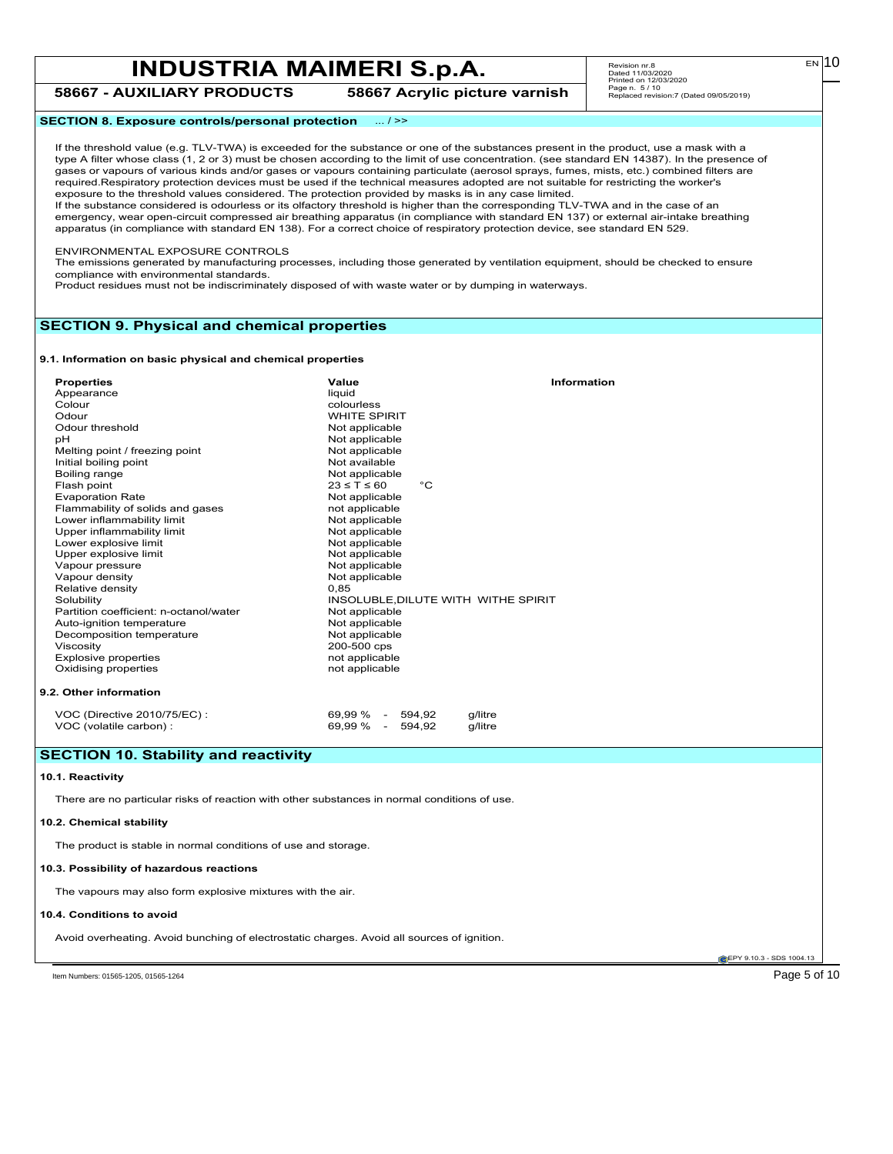## **INDUSTRIA MAIMERI S.p.A.**  $\begin{array}{|c|c|c|c|c|}\hline\hline\n\text{Revision n r.s} & \text{Revision n r.s} & \text{Revision n r.s} & \text{EIN} & \text{D101} & \text{EIN} & \text{D2220} \hline\n\end{array}$ **58667 - AUXILIARY PRODUCTS 58667 Acrylic picture varnish**

Revision nr.8 Dated 11/03/2020 Printed on 12/03/2020 Page n. 5 / 10 Replaced revision:7 (Dated 09/05/2019)

**SECTION 8. Exposure controls/personal protection** ... / >>

If the threshold value (e.g. TLV-TWA) is exceeded for the substance or one of the substances present in the product, use a mask with a type A filter whose class (1, 2 or 3) must be chosen according to the limit of use concentration. (see standard EN 14387). In the presence of gases or vapours of various kinds and/or gases or vapours containing particulate (aerosol sprays, fumes, mists, etc.) combined filters are required.Respiratory protection devices must be used if the technical measures adopted are not suitable for restricting the worker's exposure to the threshold values considered. The protection provided by masks is in any case limited.

If the substance considered is odourless or its olfactory threshold is higher than the corresponding TLV-TWA and in the case of an emergency, wear open-circuit compressed air breathing apparatus (in compliance with standard EN 137) or external air-intake breathing apparatus (in compliance with standard EN 138). For a correct choice of respiratory protection device, see standard EN 529.

#### ENVIRONMENTAL EXPOSURE CONTROLS

The emissions generated by manufacturing processes, including those generated by ventilation equipment, should be checked to ensure compliance with environmental standards.

Product residues must not be indiscriminately disposed of with waste water or by dumping in waterways.

### **SECTION 9. Physical and chemical properties**

#### **9.1. Information on basic physical and chemical properties**

| <b>Properties</b>                      | Value                                  | Information |
|----------------------------------------|----------------------------------------|-------------|
| Appearance                             | liquid                                 |             |
| Colour                                 | colourless                             |             |
| Odour                                  | <b>WHITE SPIRIT</b>                    |             |
| Odour threshold                        | Not applicable                         |             |
| pH                                     | Not applicable                         |             |
| Melting point / freezing point         | Not applicable                         |             |
| Initial boiling point                  | Not available                          |             |
| Boiling range                          | Not applicable                         |             |
| Flash point                            | $23 \leq T \leq 60$<br>$^{\circ}C$     |             |
| <b>Evaporation Rate</b>                | Not applicable                         |             |
| Flammability of solids and gases       | not applicable                         |             |
| Lower inflammability limit             | Not applicable                         |             |
| Upper inflammability limit             | Not applicable                         |             |
| Lower explosive limit                  | Not applicable                         |             |
| Upper explosive limit                  | Not applicable                         |             |
| Vapour pressure                        | Not applicable                         |             |
| Vapour density                         | Not applicable                         |             |
| Relative density                       | 0,85                                   |             |
| Solubility                             | INSOLUBLE, DILUTE WITH WITHE SPIRIT    |             |
| Partition coefficient: n-octanol/water | Not applicable                         |             |
| Auto-ignition temperature              | Not applicable                         |             |
| Decomposition temperature              | Not applicable                         |             |
| Viscosity                              | 200-500 cps                            |             |
| <b>Explosive properties</b>            | not applicable                         |             |
| Oxidising properties                   | not applicable                         |             |
| 9.2. Other information                 |                                        |             |
| VOC (Directive 2010/75/EC):            | 69,99 % - 594,92<br>g/litre            |             |
| VOC (volatile carbon) :                | 69.99 %<br>594.92<br>$\sim$<br>a/litre |             |

### **SECTION 10. Stability and reactivity**

#### **10.1. Reactivity**

There are no particular risks of reaction with other substances in normal conditions of use.

#### **10.2. Chemical stability**

The product is stable in normal conditions of use and storage.

#### **10.3. Possibility of hazardous reactions**

The vapours may also form explosive mixtures with the air.

#### **10.4. Conditions to avoid**

Avoid overheating. Avoid bunching of electrostatic charges. Avoid all sources of ignition.

EPY 9.10.3 - SDS 1004.13

Item Numbers: 01565-1205, 01565-1264 Page 5 of 10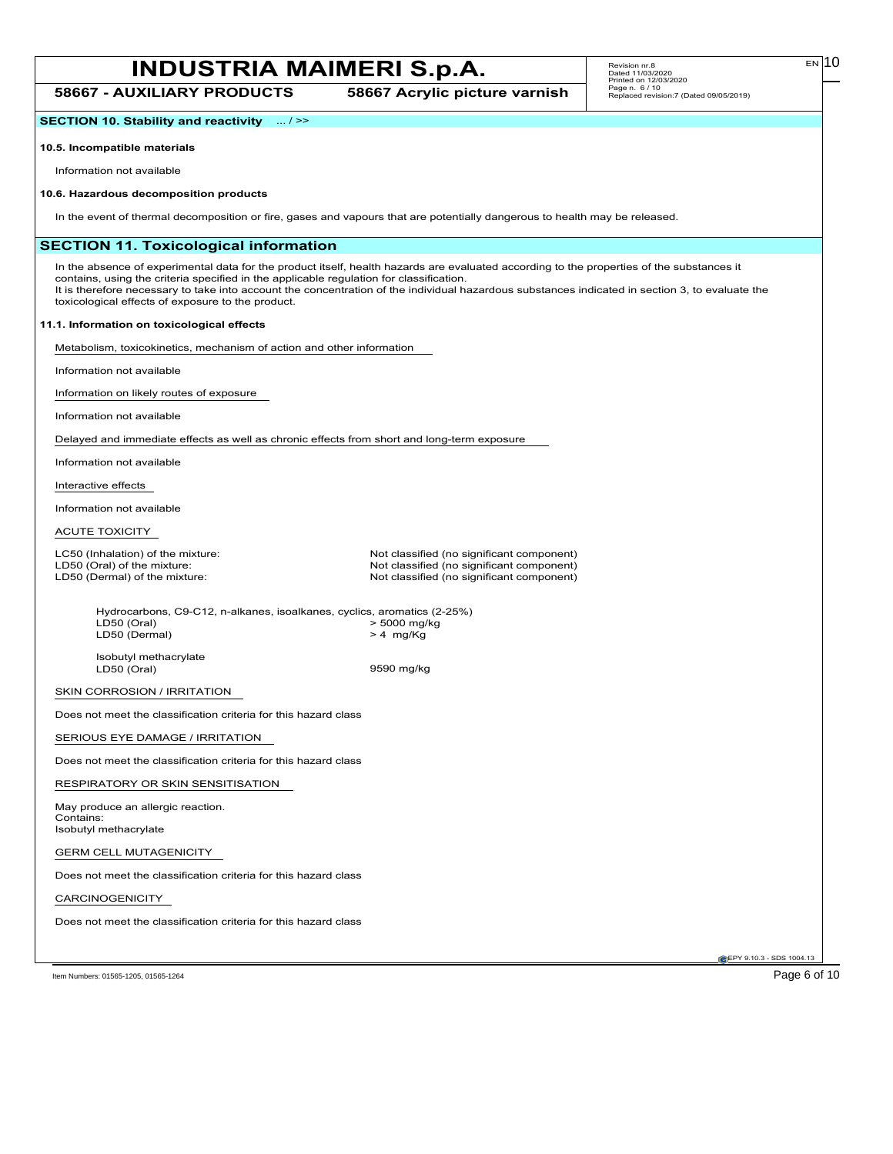**58667 - AUXILIARY PRODUCTS 58667 Acrylic picture varnish**

**SECTION 10. Stability and reactivity** ... / >>

#### **10.5. Incompatible materials**

Information not available

#### **10.6. Hazardous decomposition products**

In the event of thermal decomposition or fire, gases and vapours that are potentially dangerous to health may be released.

### **SECTION 11. Toxicological information**

In the absence of experimental data for the product itself, health hazards are evaluated according to the properties of the substances it contains, using the criteria specified in the applicable regulation for classification. It is therefore necessary to take into account the concentration of the individual hazardous substances indicated in section 3, to evaluate the toxicological effects of exposure to the product.

#### **11.1. Information on toxicological effects**

Metabolism, toxicokinetics, mechanism of action and other information

Information not available

Information on likely routes of exposure

Information not available

Delayed and immediate effects as well as chronic effects from short and long-term exposure

Information not available

Interactive effects

Information not available

#### ACUTE TOXICITY

LC50 (Inhalation) of the mixture: Not classified (no significant component)<br>
LD50 (Oral) of the mixture: Not classified (no significant component) LD50 (Oral) of the mixture:  $\begin{array}{c} \text{LD50 (Oeral) of the mixture:} \\ \text{LD50 (Dermal) of the mixture:} \end{array}$  Not classified (no significant component) Not classified (no significant component)

Hydrocarbons, C9-C12, n-alkanes, isoalkanes, cyclics, aromatics (2-25%)<br>LD50 (Oral) > 5000 mg/kg > 5000 mg/kg<br>> 4 mg/Kg LD50 (Dermal)

Isobutyl methacrylate<br>LD50 (Oral)

9590 mg/kg

SKIN CORROSION / IRRITATION

Does not meet the classification criteria for this hazard class

SERIOUS EYE DAMAGE / IRRITATION

Does not meet the classification criteria for this hazard class

RESPIRATORY OR SKIN SENSITISATION

May produce an allergic reaction. Contains: Isobutyl methacrylate

GERM CELL MUTAGENICITY

Does not meet the classification criteria for this hazard class

CARCINOGENICITY

Does not meet the classification criteria for this hazard class

EPY 9.10.3 - SDS 1004.13

Item Numbers: 01565-1205, 01565-1264 Page 6 of 10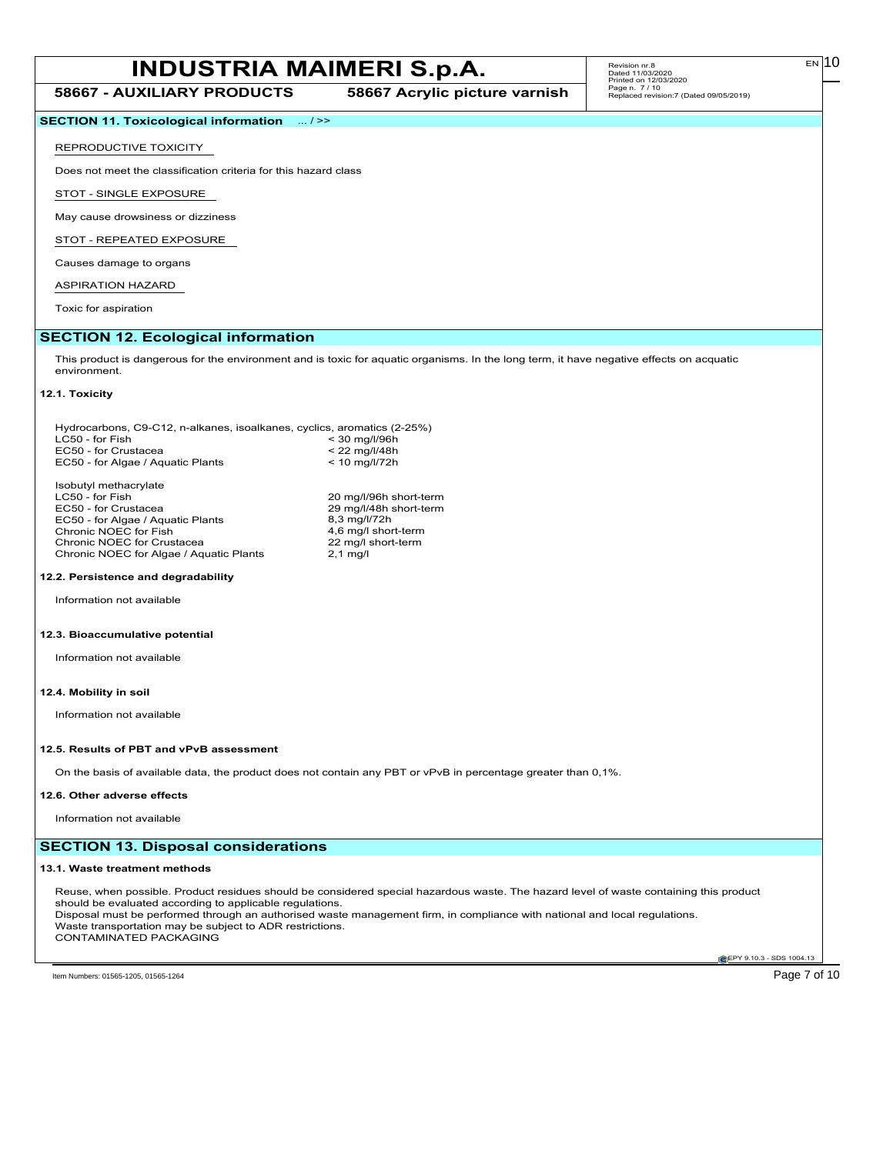**58667 - AUXILIARY PRODUCTS 58667 Acrylic picture varnish**

EN

**SECTION 11. Toxicological information** ... / >>

#### REPRODUCTIVE TOXICITY

Does not meet the classification criteria for this hazard class

STOT - SINGLE EXPOSURE

May cause drowsiness or dizziness

STOT - REPEATED EXPOSURE

Causes damage to organs

## ASPIRATION HAZARD

Toxic for aspiration

## **SECTION 12. Ecological information**

This product is dangerous for the environment and is toxic for aquatic organisms. In the long term, it have negative effects on acquatic environment.

#### **12.1. Toxicity**

| Hydrocarbons, C9-C12, n-alkanes, isoalkanes, cyclics, aromatics (2-25%) |                        |
|-------------------------------------------------------------------------|------------------------|
| LC50 - for Fish                                                         | $<$ 30 mg/l/96h        |
| EC50 - for Crustacea                                                    | $< 22$ mg/l/48h        |
| EC50 - for Algae / Aguatic Plants                                       | $< 10$ mg/l/72h        |
| Isobutyl methacrylate                                                   |                        |
| LC50 - for Fish                                                         | 20 mg/l/96h short-term |
| EC50 - for Crustacea                                                    | 29 mg/l/48h short-term |
| EC50 - for Algae / Aguatic Plants                                       | 8,3 mg/l/72h           |
| Chronic NOEC for Fish                                                   | 4,6 mg/l short-term    |
| Chronic NOEC for Crustacea                                              | 22 mg/l short-term     |
| Chronic NOEC for Algae / Aguatic Plants                                 | $2.1 \text{ mg/l}$     |
| 12.2. Persistence and degradability                                     |                        |
| Information not available                                               |                        |
| 12.3. Bioaccumulative potential                                         |                        |

Information not available

#### **12.4. Mobility in soil**

Information not available

#### **12.5. Results of PBT and vPvB assessment**

On the basis of available data, the product does not contain any PBT or vPvB in percentage greater than 0,1%.

#### **12.6. Other adverse effects**

Information not available

## **SECTION 13. Disposal considerations**

#### **13.1. Waste treatment methods**

Reuse, when possible. Product residues should be considered special hazardous waste. The hazard level of waste containing this product should be evaluated according to applicable regulations. Disposal must be performed through an authorised waste management firm, in compliance with national and local regulations. Waste transportation may be subject to ADR restrictions. CONTAMINATED PACKAGING

**EPY 9.10.3 - SDS 1004.13**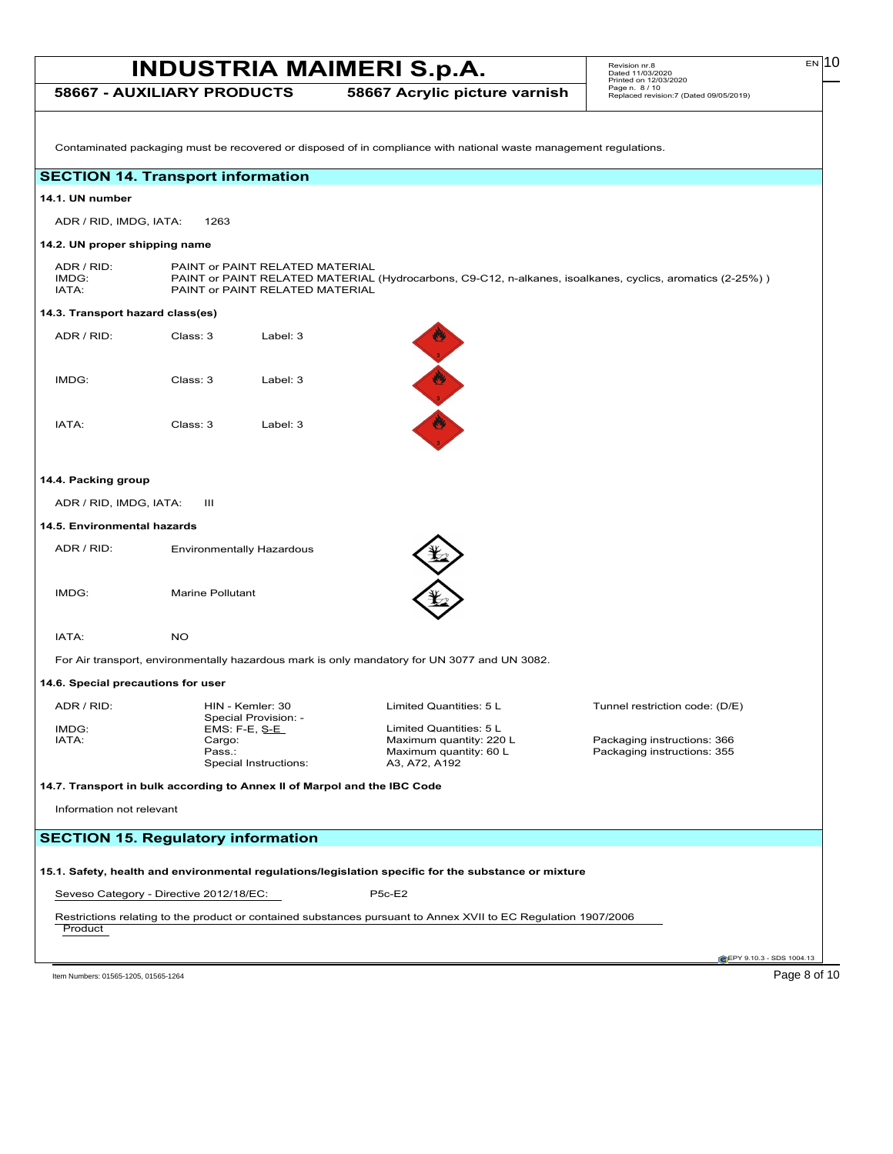**58667 - AUXILIARY PRODUCTS 58667 Acrylic picture varnish**

Contaminated packaging must be recovered or disposed of in compliance with national waste management regulations.

## **SECTION 14. Transport information**

#### **14.1. UN number**

ADR / RID, IMDG, IATA: 1263

#### **14.2. UN proper shipping name**

ADR / RID: PAINT or PAINT RELATED MATERIAL<br>IMDG: PAINT or PAINT RELATED MATERIAL IMDG: PAINT or PAINT RELATED MATERIAL (Hydrocarbons, C9-C12, n-alkanes, isoalkanes, cyclics, aromatics (2-25%) )<br>
IATA: PAINT or PAINT RELATED MATERIAL PAINT or PAINT RELATED MATERIAL

### **14.3. Transport hazard class(es)**

| ADR / RID: | Class: 3 | Label: $3$ |  |
|------------|----------|------------|--|
| IMDG:      | Class: 3 | Label: $3$ |  |
| IATA:      | Class: 3 | Label: 3   |  |

### **14.4. Packing group**

ADR / RID, IMDG, IATA: III

#### **14.5. Environmental hazards**

| ADR / RID: | <b>Environmentally Hazardous</b> |
|------------|----------------------------------|
|            |                                  |
| IMDG:      | Marine Pollutant                 |



"我"的

IATA: NO

For Air transport, environmentally hazardous mark is only mandatory for UN 3077 and UN 3082.

#### **14.6. Special precautions for user**

Special Provision: -<br>EMS: F-E, S-E

IMDG: EMS: F-E, S-E Limited Quantities: 5 L Special Instructions: A3, A72, A192

ADR / RID: HIN - Kemler: 30 Limited Quantities: 5 L Tunnel restriction code: (D/E)

IATA: Cargo: Maximum quantity: 220 L Packaging instructions: 366 Packaging instructions: 355

#### **14.7. Transport in bulk according to Annex II of Marpol and the IBC Code**

Information not relevant

## **SECTION 15. Regulatory information**

## **15.1. Safety, health and environmental regulations/legislation specific for the substance or mixture**

Seveso Category - Directive 2012/18/EC: P5c-E2

Restrictions relating to the product or contained substances pursuant to Annex XVII to EC Regulation 1907/2006 **Product** 

**EPY 9.10.3 - SDS 1004.13** 

Item Numbers: 01565-1205, 01565-1264 Page 8 of 10

 $E$ N<sub>10</sub>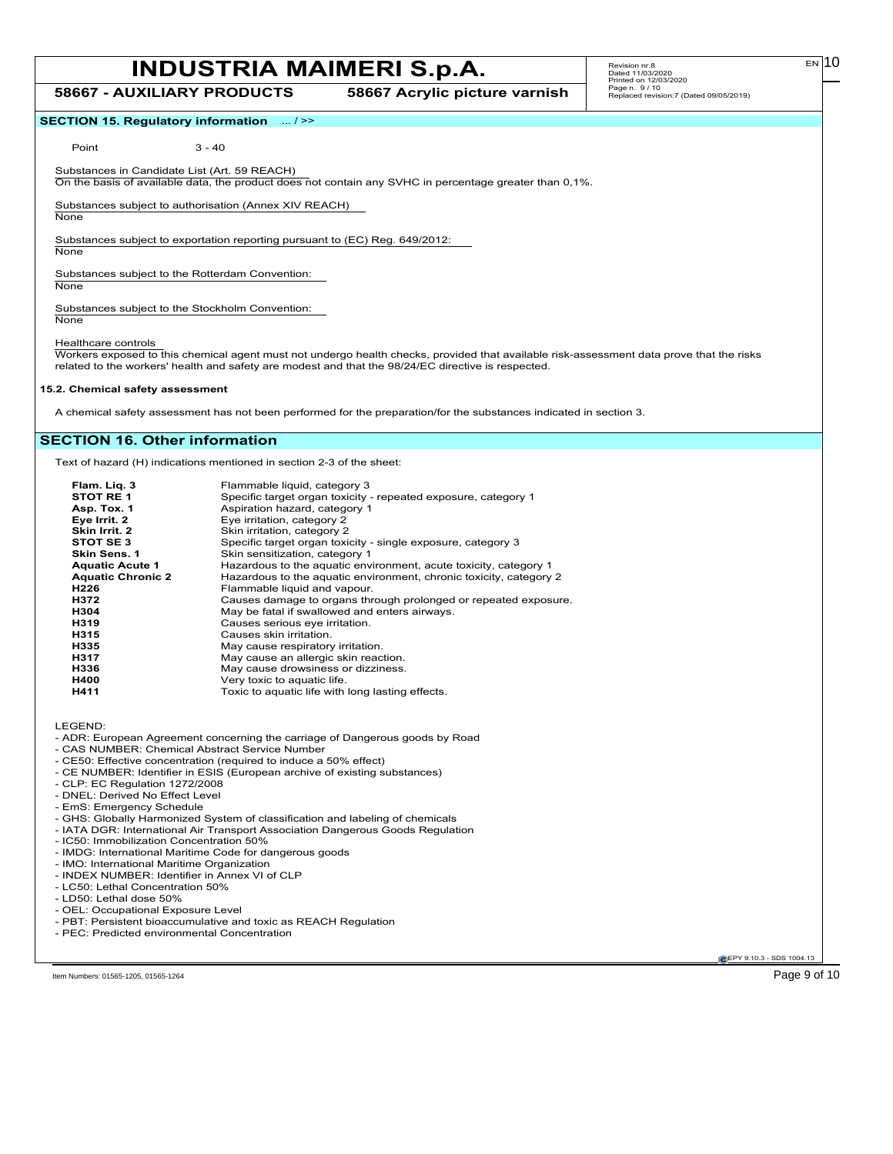**58667 - AUXILIARY PRODUCTS 58667 Acrylic picture varnish**

EN

### **SECTION 15. Regulatory information** ... / >>

Point 3 - 40

Substances in Candidate List (Art. 59 REACH)

On the basis of available data, the product does not contain any SVHC in percentage greater than 0,1%.

Substances subject to authorisation (Annex XIV REACH)

**None** 

Substances subject to exportation reporting pursuant to (EC) Reg. 649/2012:

None

Substances subject to the Rotterdam Convention:

**None** 

Substances subject to the Stockholm Convention: **None** 

Healthcare controls

Workers exposed to this chemical agent must not undergo health checks, provided that available risk-assessment data prove that the risks related to the workers' health and safety are modest and that the 98/24/EC directive is respected.

#### **15.2. Chemical safety assessment**

A chemical safety assessment has not been performed for the preparation/for the substances indicated in section 3.

## **SECTION 16. Other information**

Text of hazard (H) indications mentioned in section 2-3 of the sheet:

| Flam. Lig. 3             | Flammable liquid, category 3                                       |
|--------------------------|--------------------------------------------------------------------|
| STOT RE 1                | Specific target organ toxicity - repeated exposure, category 1     |
| Asp. Tox. 1              | Aspiration hazard, category 1                                      |
| Eye Irrit. 2             | Eye irritation, category 2                                         |
| Skin Irrit. 2            | Skin irritation, category 2                                        |
| STOT SE 3                | Specific target organ toxicity - single exposure, category 3       |
| <b>Skin Sens. 1</b>      | Skin sensitization, category 1                                     |
| <b>Aquatic Acute 1</b>   | Hazardous to the aguatic environment, acute toxicity, category 1   |
| <b>Aquatic Chronic 2</b> | Hazardous to the aquatic environment, chronic toxicity, category 2 |
| H226                     | Flammable liquid and vapour.                                       |
| H372                     | Causes damage to organs through prolonged or repeated exposure.    |
| H304                     | May be fatal if swallowed and enters airways.                      |
| H319                     | Causes serious eye irritation.                                     |
| H315                     | Causes skin irritation.                                            |
| H335                     | May cause respiratory irritation.                                  |
| H317                     | May cause an allergic skin reaction.                               |
| H336                     | May cause drowsiness or dizziness.                                 |
| <b>H400</b>              | Very toxic to aquatic life.                                        |
| H411                     | Toxic to aquatic life with long lasting effects.                   |
|                          |                                                                    |

LEGEND:

- ADR: European Agreement concerning the carriage of Dangerous goods by Road
- CAS NUMBER: Chemical Abstract Service Number
- CE50: Effective concentration (required to induce a 50% effect)
- CE NUMBER: Identifier in ESIS (European archive of existing substances)
- CLP: EC Regulation 1272/2008
- DNEL: Derived No Effect Level
- EmS: Emergency Schedule
- GHS: Globally Harmonized System of classification and labeling of chemicals
- IATA DGR: International Air Transport Association Dangerous Goods Regulation
- IC50: Immobilization Concentration 50%
- IMDG: International Maritime Code for dangerous goods
- IMO: International Maritime Organization
- INDEX NUMBER: Identifier in Annex VI of CLP
- LC50: Lethal Concentration 50%
- LD50: Lethal dose 50%
- OEL: Occupational Exposure Level
- PBT: Persistent bioaccumulative and toxic as REACH Regulation
- PEC: Predicted environmental Concentration

EPY 9.10.3 - SDS 1004.13